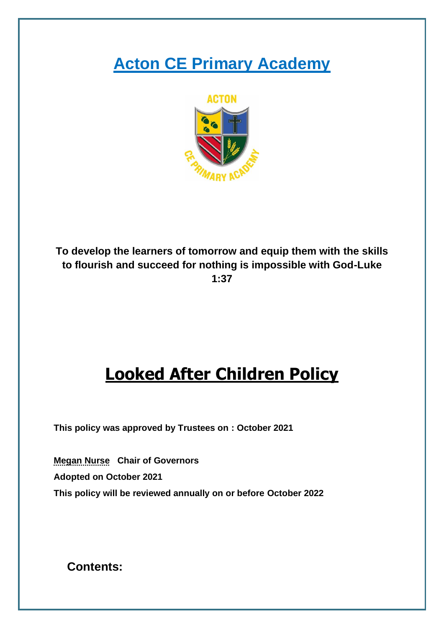# **Acton CE Primary Academy**



**To develop the learners of tomorrow and equip them with the skills to flourish and succeed for nothing is impossible with God-Luke 1:37**

# **Looked After Children Policy**

**This policy was approved by Trustees on : October 2021**

**Megan Nurse Chair of Governors Adopted on October 2021 This policy will be reviewed annually on or before October 2022**

**Contents:**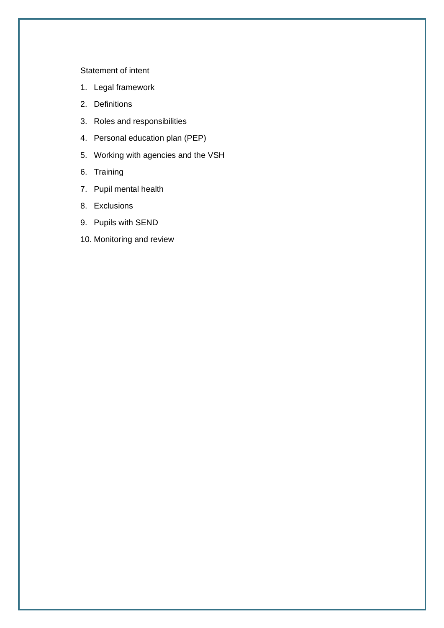#### [Statement of intent](#page-2-0)

- 1. [Legal framework](#page-3-0)
- 2. [Definitions](#page-3-1)
- 3. [Roles and responsibilities](#page-4-0)
- 4. [Personal education plan \(PEP\)](#page-7-0)
- 5. [Working with agencies and the VSH](#page-8-0)
- 6. [Training](#page-9-0)
- 7. [Pupil mental health](#page-9-1)
- 8. [Exclusions](#page-9-2)
- 9. [Pupils with SEND](#page-10-0)
- 10. [Monitoring and review](#page-10-1)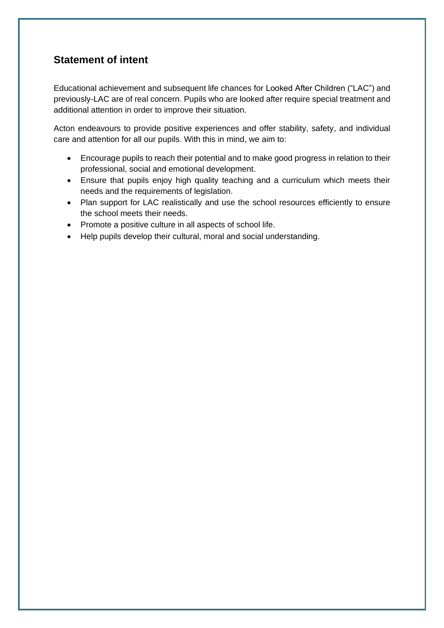# <span id="page-2-0"></span>**Statement of intent**

Educational achievement and subsequent life chances for Looked After Children ("LAC") and previously-LAC are of real concern. Pupils who are looked after require special treatment and additional attention in order to improve their situation.

Acton endeavours to provide positive experiences and offer stability, safety, and individual care and attention for all our pupils. With this in mind, we aim to:

- Encourage pupils to reach their potential and to make good progress in relation to their professional, social and emotional development.
- Ensure that pupils enjoy high quality teaching and a curriculum which meets their needs and the requirements of legislation.
- Plan support for LAC realistically and use the school resources efficiently to ensure the school meets their needs.
- Promote a positive culture in all aspects of school life.
- Help pupils develop their cultural, moral and social understanding.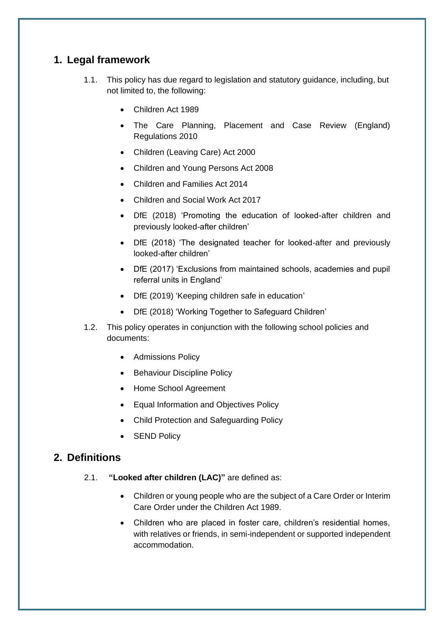## <span id="page-3-0"></span>**1. Legal framework**

- 1.1. This policy has due regard to legislation and statutory guidance, including, but not limited to, the following:
	- Children Act 1989
	- The Care Planning, Placement and Case Review (England) Regulations 2010
	- Children (Leaving Care) Act 2000
	- Children and Young Persons Act 2008
	- Children and Families Act 2014
	- Children and Social Work Act 2017
	- DfE (2018) 'Promoting the education of looked-after children and previously looked-after children'
	- DfE (2018) 'The designated teacher for looked-after and previously looked-after children'
	- DfE (2017) 'Exclusions from maintained schools, academies and pupil referral units in England'
	- DfE (2019) 'Keeping children safe in education'
	- DfE (2018) 'Working Together to Safeguard Children'
- 1.2. This policy operates in conjunction with the following school policies and documents:
	- Admissions Policy
	- Behaviour Discipline Policy
	- Home School Agreement
	- Equal Information and Objectives Policy
	- Child Protection and Safeguarding Policy
	- SEND Policy

#### <span id="page-3-1"></span>**2. Definitions**

- 2.1. **"Looked after children (LAC)"** are defined as:
	- Children or young people who are the subject of a Care Order or Interim Care Order under the Children Act 1989.
	- Children who are placed in foster care, children's residential homes, with relatives or friends, in semi-independent or supported independent accommodation.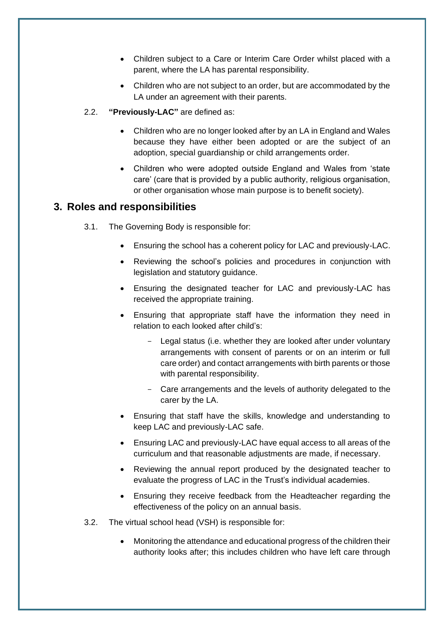- Children subject to a Care or Interim Care Order whilst placed with a parent, where the LA has parental responsibility.
- Children who are not subject to an order, but are accommodated by the LA under an agreement with their parents.
- 2.2. **"Previously-LAC"** are defined as:
	- Children who are no longer looked after by an LA in England and Wales because they have either been adopted or are the subject of an adoption, special guardianship or child arrangements order.
	- Children who were adopted outside England and Wales from 'state care' (care that is provided by a public authority, religious organisation, or other organisation whose main purpose is to benefit society).

## <span id="page-4-0"></span>**3. Roles and responsibilities**

- 3.1. The Governing Body is responsible for:
	- Ensuring the school has a coherent policy for LAC and previously-LAC.
	- Reviewing the school's policies and procedures in conjunction with legislation and statutory guidance.
	- Ensuring the designated teacher for LAC and previously-LAC has received the appropriate training.
	- Ensuring that appropriate staff have the information they need in relation to each looked after child's:
		- Legal status (i.e. whether they are looked after under voluntary arrangements with consent of parents or on an interim or full care order) and contact arrangements with birth parents or those with parental responsibility.
		- Care arrangements and the levels of authority delegated to the carer by the LA.
	- Ensuring that staff have the skills, knowledge and understanding to keep LAC and previously-LAC safe.
	- Ensuring LAC and previously-LAC have equal access to all areas of the curriculum and that reasonable adjustments are made, if necessary.
	- Reviewing the annual report produced by the designated teacher to evaluate the progress of LAC in the Trust's individual academies.
	- Ensuring they receive feedback from the Headteacher regarding the effectiveness of the policy on an annual basis.
- 3.2. The virtual school head (VSH) is responsible for:
	- Monitoring the attendance and educational progress of the children their authority looks after; this includes children who have left care through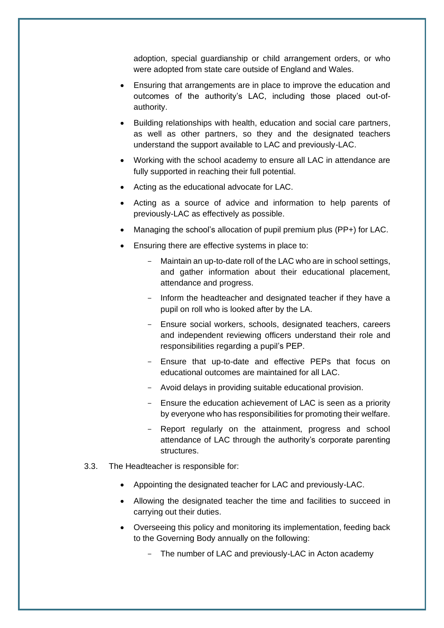adoption, special guardianship or child arrangement orders, or who were adopted from state care outside of England and Wales.

- Ensuring that arrangements are in place to improve the education and outcomes of the authority's LAC, including those placed out-ofauthority.
- Building relationships with health, education and social care partners, as well as other partners, so they and the designated teachers understand the support available to LAC and previously-LAC.
- Working with the school academy to ensure all LAC in attendance are fully supported in reaching their full potential.
- Acting as the educational advocate for LAC.
- Acting as a source of advice and information to help parents of previously-LAC as effectively as possible.
- Managing the school's allocation of pupil premium plus (PP+) for LAC.
- Ensuring there are effective systems in place to:
	- Maintain an up-to-date roll of the LAC who are in school settings, and gather information about their educational placement, attendance and progress.
	- Inform the headteacher and designated teacher if they have a pupil on roll who is looked after by the LA.
	- Ensure social workers, schools, designated teachers, careers and independent reviewing officers understand their role and responsibilities regarding a pupil's PEP.
	- Ensure that up-to-date and effective PEPs that focus on educational outcomes are maintained for all LAC.
	- Avoid delays in providing suitable educational provision.
	- Ensure the education achievement of LAC is seen as a priority by everyone who has responsibilities for promoting their welfare.
	- Report regularly on the attainment, progress and school attendance of LAC through the authority's corporate parenting structures.
- 3.3. The Headteacher is responsible for:
	- Appointing the designated teacher for LAC and previously-LAC.
	- Allowing the designated teacher the time and facilities to succeed in carrying out their duties.
	- Overseeing this policy and monitoring its implementation, feeding back to the Governing Body annually on the following:
		- The number of LAC and previously-LAC in Acton academy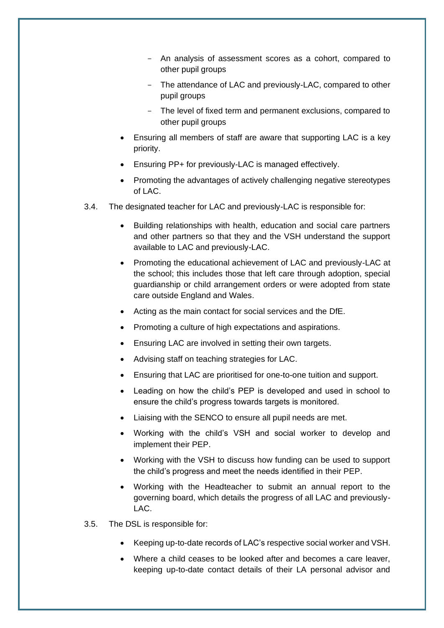- An analysis of assessment scores as a cohort, compared to other pupil groups
- The attendance of LAC and previously-LAC, compared to other pupil groups
- The level of fixed term and permanent exclusions, compared to other pupil groups
- Ensuring all members of staff are aware that supporting LAC is a key priority.
- Ensuring PP+ for previously-LAC is managed effectively.
- Promoting the advantages of actively challenging negative stereotypes of LAC.
- 3.4. The designated teacher for LAC and previously-LAC is responsible for:
	- Building relationships with health, education and social care partners and other partners so that they and the VSH understand the support available to LAC and previously-LAC.
	- Promoting the educational achievement of LAC and previously-LAC at the school; this includes those that left care through adoption, special guardianship or child arrangement orders or were adopted from state care outside England and Wales.
	- Acting as the main contact for social services and the DfE.
	- Promoting a culture of high expectations and aspirations.
	- Ensuring LAC are involved in setting their own targets.
	- Advising staff on teaching strategies for LAC.
	- Ensuring that LAC are prioritised for one-to-one tuition and support.
	- Leading on how the child's PEP is developed and used in school to ensure the child's progress towards targets is monitored.
	- Liaising with the SENCO to ensure all pupil needs are met.
	- Working with the child's VSH and social worker to develop and implement their PEP.
	- Working with the VSH to discuss how funding can be used to support the child's progress and meet the needs identified in their PEP.
	- Working with the Headteacher to submit an annual report to the governing board, which details the progress of all LAC and previously-LAC.
- 3.5. The DSL is responsible for:
	- Keeping up-to-date records of LAC's respective social worker and VSH.
	- Where a child ceases to be looked after and becomes a care leaver, keeping up-to-date contact details of their LA personal advisor and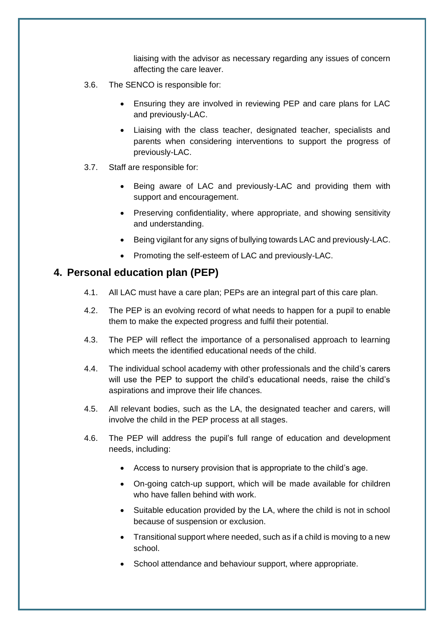liaising with the advisor as necessary regarding any issues of concern affecting the care leaver.

- 3.6. The SENCO is responsible for:
	- Ensuring they are involved in reviewing PEP and care plans for LAC and previously-LAC.
	- Liaising with the class teacher, designated teacher, specialists and parents when considering interventions to support the progress of previously-LAC.
- 3.7. Staff are responsible for:
	- Being aware of LAC and previously-LAC and providing them with support and encouragement.
	- Preserving confidentiality, where appropriate, and showing sensitivity and understanding.
	- Being vigilant for any signs of bullying towards LAC and previously-LAC.
	- Promoting the self-esteem of LAC and previously-LAC.

#### <span id="page-7-0"></span>**4. Personal education plan (PEP)**

- 4.1. All LAC must have a care plan; PEPs are an integral part of this care plan.
- 4.2. The PEP is an evolving record of what needs to happen for a pupil to enable them to make the expected progress and fulfil their potential.
- 4.3. The PEP will reflect the importance of a personalised approach to learning which meets the identified educational needs of the child.
- 4.4. The individual school academy with other professionals and the child's carers will use the PEP to support the child's educational needs, raise the child's aspirations and improve their life chances.
- 4.5. All relevant bodies, such as the LA, the designated teacher and carers, will involve the child in the PEP process at all stages.
- 4.6. The PEP will address the pupil's full range of education and development needs, including:
	- Access to nursery provision that is appropriate to the child's age.
	- On-going catch-up support, which will be made available for children who have fallen behind with work.
	- Suitable education provided by the LA, where the child is not in school because of suspension or exclusion.
	- Transitional support where needed, such as if a child is moving to a new school.
	- School attendance and behaviour support, where appropriate.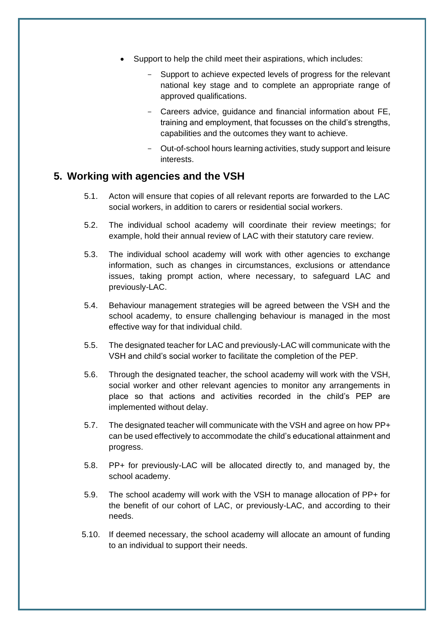- Support to help the child meet their aspirations, which includes:
	- Support to achieve expected levels of progress for the relevant national key stage and to complete an appropriate range of approved qualifications.
	- Careers advice, guidance and financial information about FE, training and employment, that focusses on the child's strengths, capabilities and the outcomes they want to achieve.
	- Out-of-school hours learning activities, study support and leisure interests.

#### <span id="page-8-0"></span>**5. Working with agencies and the VSH**

- 5.1. Acton will ensure that copies of all relevant reports are forwarded to the LAC social workers, in addition to carers or residential social workers.
- 5.2. The individual school academy will coordinate their review meetings; for example, hold their annual review of LAC with their statutory care review.
- 5.3. The individual school academy will work with other agencies to exchange information, such as changes in circumstances, exclusions or attendance issues, taking prompt action, where necessary, to safeguard LAC and previously-LAC.
- 5.4. Behaviour management strategies will be agreed between the VSH and the school academy, to ensure challenging behaviour is managed in the most effective way for that individual child.
- 5.5. The designated teacher for LAC and previously-LAC will communicate with the VSH and child's social worker to facilitate the completion of the PEP.
- 5.6. Through the designated teacher, the school academy will work with the VSH, social worker and other relevant agencies to monitor any arrangements in place so that actions and activities recorded in the child's PEP are implemented without delay.
- 5.7. The designated teacher will communicate with the VSH and agree on how PP+ can be used effectively to accommodate the child's educational attainment and progress.
- 5.8. PP+ for previously-LAC will be allocated directly to, and managed by, the school academy.
- 5.9. The school academy will work with the VSH to manage allocation of PP+ for the benefit of our cohort of LAC, or previously-LAC, and according to their needs.
- 5.10. If deemed necessary, the school academy will allocate an amount of funding to an individual to support their needs.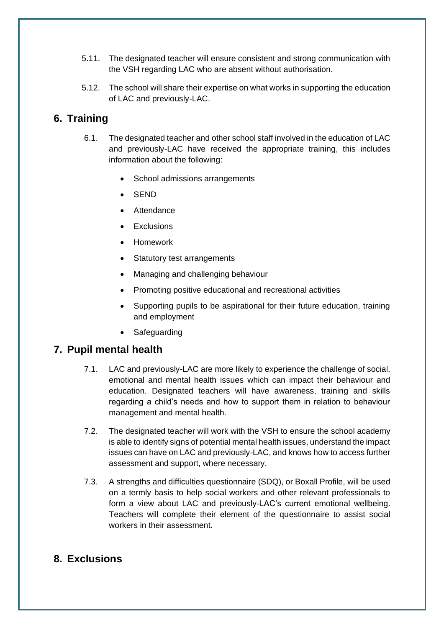- 5.11. The designated teacher will ensure consistent and strong communication with the VSH regarding LAC who are absent without authorisation.
- 5.12. The school will share their expertise on what works in supporting the education of LAC and previously-LAC.

# <span id="page-9-0"></span>**6. Training**

- 6.1. The designated teacher and other school staff involved in the education of LAC and previously-LAC have received the appropriate training, this includes information about the following:
	- School admissions arrangements
	- SEND
	- **Attendance**
	- **Exclusions**
	- Homework
	- Statutory test arrangements
	- Managing and challenging behaviour
	- Promoting positive educational and recreational activities
	- Supporting pupils to be aspirational for their future education, training and employment
	- **Safeguarding**

#### <span id="page-9-1"></span>**7. Pupil mental health**

- 7.1. LAC and previously-LAC are more likely to experience the challenge of social, emotional and mental health issues which can impact their behaviour and education. Designated teachers will have awareness, training and skills regarding a child's needs and how to support them in relation to behaviour management and mental health.
- 7.2. The designated teacher will work with the VSH to ensure the school academy is able to identify signs of potential mental health issues, understand the impact issues can have on LAC and previously-LAC, and knows how to access further assessment and support, where necessary.
- 7.3. A strengths and difficulties questionnaire (SDQ), or Boxall Profile, will be used on a termly basis to help social workers and other relevant professionals to form a view about LAC and previously-LAC's current emotional wellbeing. Teachers will complete their element of the questionnaire to assist social workers in their assessment.

### <span id="page-9-2"></span>**8. Exclusions**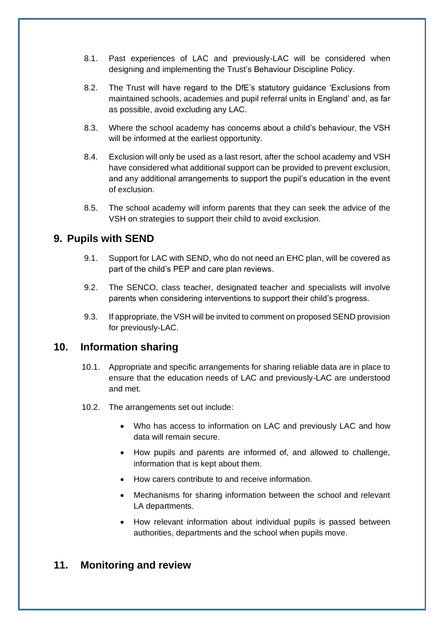- 8.1. Past experiences of LAC and previously-LAC will be considered when designing and implementing the Trust's Behaviour Discipline Policy.
- 8.2. The Trust will have regard to the DfE's statutory guidance 'Exclusions from maintained schools, academies and pupil referral units in England' and, as far as possible, avoid excluding any LAC.
- 8.3. Where the school academy has concerns about a child's behaviour, the VSH will be informed at the earliest opportunity.
- 8.4. Exclusion will only be used as a last resort, after the school academy and VSH have considered what additional support can be provided to prevent exclusion, and any additional arrangements to support the pupil's education in the event of exclusion.
- 8.5. The school academy will inform parents that they can seek the advice of the VSH on strategies to support their child to avoid exclusion.

## <span id="page-10-0"></span>**9. Pupils with SEND**

- 9.1. Support for LAC with SEND, who do not need an EHC plan, will be covered as part of the child's PEP and care plan reviews.
- 9.2. The SENCO, class teacher, designated teacher and specialists will involve parents when considering interventions to support their child's progress.
- 9.3. If appropriate, the VSH will be invited to comment on proposed SEND provision for previously-LAC.

### **10. Information sharing**

- 10.1. Appropriate and specific arrangements for sharing reliable data are in place to ensure that the education needs of LAC and previously-LAC are understood and met.
- 10.2. The arrangements set out include:
	- Who has access to information on LAC and previously LAC and how data will remain secure.
	- How pupils and parents are informed of, and allowed to challenge, information that is kept about them.
	- How carers contribute to and receive information.
	- Mechanisms for sharing information between the school and relevant LA departments.
	- How relevant information about individual pupils is passed between authorities, departments and the school when pupils move.

## <span id="page-10-1"></span>**11. Monitoring and review**